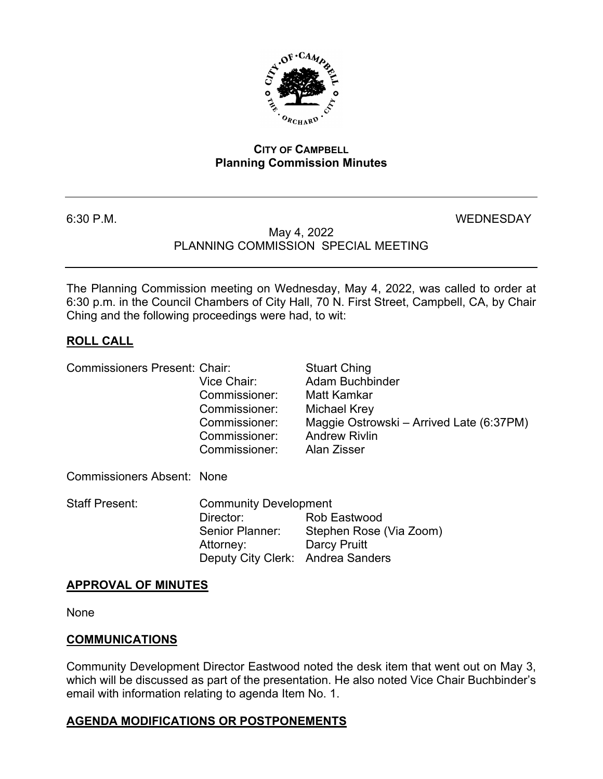

#### **CITY OF CAMPBELL Planning Commission Minutes**

#### 6:30 P.M. WEDNESDAY

#### May 4, 2022 PLANNING COMMISSION SPECIAL MEETING

The Planning Commission meeting on Wednesday, May 4, 2022, was called to order at 6:30 p.m. in the Council Chambers of City Hall, 70 N. First Street, Campbell, CA, by Chair Ching and the following proceedings were had, to wit:

# **ROLL CALL**

Commissioners Present: Chair: Stuart Ching

Vice Chair: Adam Buchbinder Commissioner: Matt Kamkar Commissioner: Michael Krey Commissioner: Maggie Ostrowski – Arrived Late (6:37PM) Commissioner: Andrew Rivlin<br>Commissioner: Alan Zisser Commissioner: Commissioners Absent: None Staff Present: Community Development Director: Rob Eastwood Senior Planner: Stephen Rose (Via Zoom) Attorney: Darcy Pruitt Deputy City Clerk: Andrea Sanders

# **APPROVAL OF MINUTES**

None

#### **COMMUNICATIONS**

Community Development Director Eastwood noted the desk item that went out on May 3, which will be discussed as part of the presentation. He also noted Vice Chair Buchbinder's email with information relating to agenda Item No. 1.

# **AGENDA MODIFICATIONS OR POSTPONEMENTS**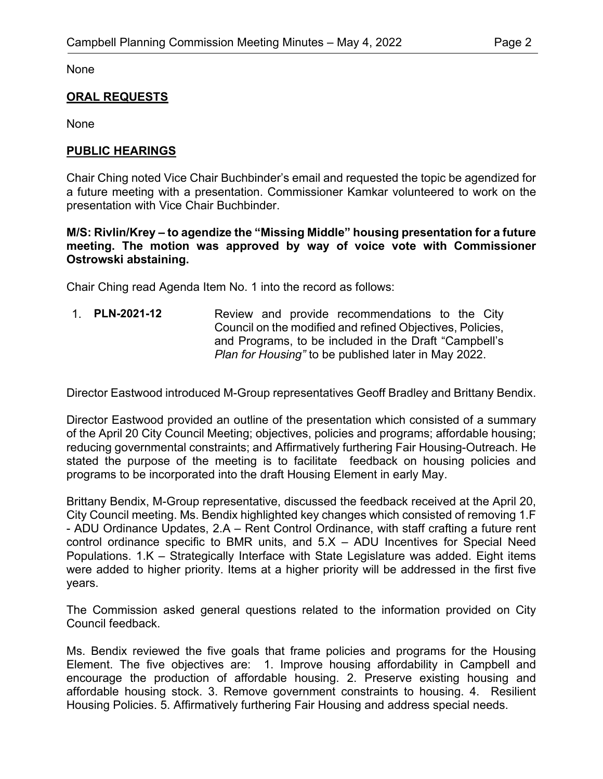None

# **ORAL REQUESTS**

None

# **PUBLIC HEARINGS**

Chair Ching noted Vice Chair Buchbinder's email and requested the topic be agendized for a future meeting with a presentation. Commissioner Kamkar volunteered to work on the presentation with Vice Chair Buchbinder.

#### **M/S: Rivlin/Krey – to agendize the "Missing Middle" housing presentation for a future meeting. The motion was approved by way of voice vote with Commissioner Ostrowski abstaining.**

Chair Ching read Agenda Item No. 1 into the record as follows:

1. **PLN-2021-12** Review and provide recommendations to the City Council on the modified and refined Objectives, Policies, and Programs, to be included in the Draft "Campbell's *Plan for Housing"* to be published later in May 2022.

Director Eastwood introduced M-Group representatives Geoff Bradley and Brittany Bendix.

Director Eastwood provided an outline of the presentation which consisted of a summary of the April 20 City Council Meeting; objectives, policies and programs; affordable housing; reducing governmental constraints; and Affirmatively furthering Fair Housing-Outreach. He stated the purpose of the meeting is to facilitate feedback on housing policies and programs to be incorporated into the draft Housing Element in early May.

Brittany Bendix, M-Group representative, discussed the feedback received at the April 20, City Council meeting. Ms. Bendix highlighted key changes which consisted of removing 1.F - ADU Ordinance Updates, 2.A – Rent Control Ordinance, with staff crafting a future rent control ordinance specific to BMR units, and  $5.X - ADU$  Incentives for Special Need Populations. 1.K – Strategically Interface with State Legislature was added. Eight items were added to higher priority. Items at a higher priority will be addressed in the first five years.

The Commission asked general questions related to the information provided on City Council feedback.

Ms. Bendix reviewed the five goals that frame policies and programs for the Housing Element. The five objectives are: 1. Improve housing affordability in Campbell and encourage the production of affordable housing. 2. Preserve existing housing and affordable housing stock. 3. Remove government constraints to housing. 4. Resilient Housing Policies. 5. Affirmatively furthering Fair Housing and address special needs.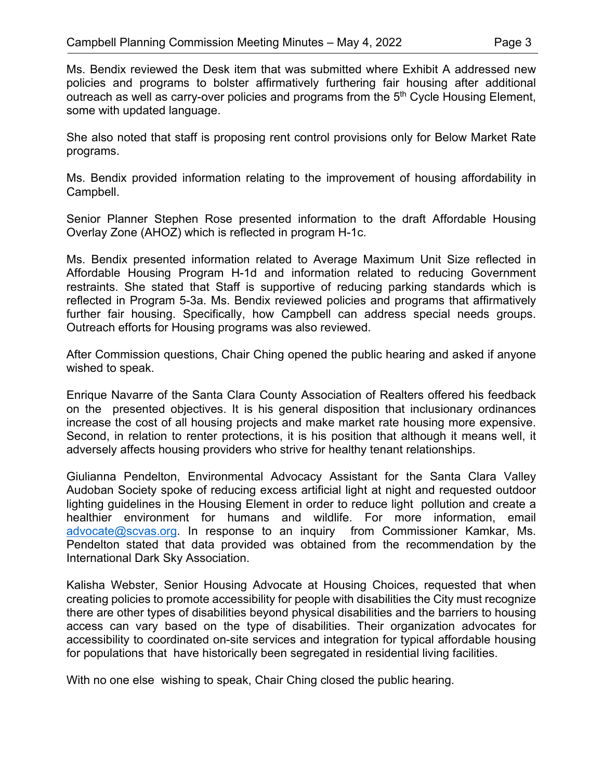Ms. Bendix reviewed the Desk item that was submitted where Exhibit A addressed new policies and programs to bolster affirmatively furthering fair housing after additional outreach as well as carry-over policies and programs from the  $5<sup>th</sup>$  Cycle Housing Element, some with updated language.

She also noted that staff is proposing rent control provisions only for Below Market Rate programs.

Ms. Bendix provided information relating to the improvement of housing affordability in Campbell.

Senior Planner Stephen Rose presented information to the draft Affordable Housing Overlay Zone (AHOZ) which is reflected in program H-1c.

Ms. Bendix presented information related to Average Maximum Unit Size reflected in Affordable Housing Program H-1d and information related to reducing Government restraints. She stated that Staff is supportive of reducing parking standards which is reflected in Program 5-3a. Ms. Bendix reviewed policies and programs that affirmatively further fair housing. Specifically, how Campbell can address special needs groups. Outreach efforts for Housing programs was also reviewed.

After Commission questions, Chair Ching opened the public hearing and asked if anyone wished to speak.

Enrique Navarre of the Santa Clara County Association of Realters offered his feedback on the presented objectives. It is his general disposition that inclusionary ordinances increase the cost of all housing projects and make market rate housing more expensive. Second, in relation to renter protections, it is his position that although it means well, it adversely affects housing providers who strive for healthy tenant relationships.

Giulianna Pendelton, Environmental Advocacy Assistant for the Santa Clara Valley Audoban Society spoke of reducing excess artificial light at night and requested outdoor lighting guidelines in the Housing Element in order to reduce light pollution and create a healthier environment for humans and wildlife. For more information, email [advocate@scvas.org.](mailto:advocate@scvas.org) In response to an inquiry from Commissioner Kamkar, Ms. Pendelton stated that data provided was obtained from the recommendation by the International Dark Sky Association.

Kalisha Webster, Senior Housing Advocate at Housing Choices, requested that when creating policies to promote accessibility for people with disabilities the City must recognize there are other types of disabilities beyond physical disabilities and the barriers to housing access can vary based on the type of disabilities. Their organization advocates for accessibility to coordinated on-site services and integration for typical affordable housing for populations that have historically been segregated in residential living facilities.

With no one else wishing to speak, Chair Ching closed the public hearing.